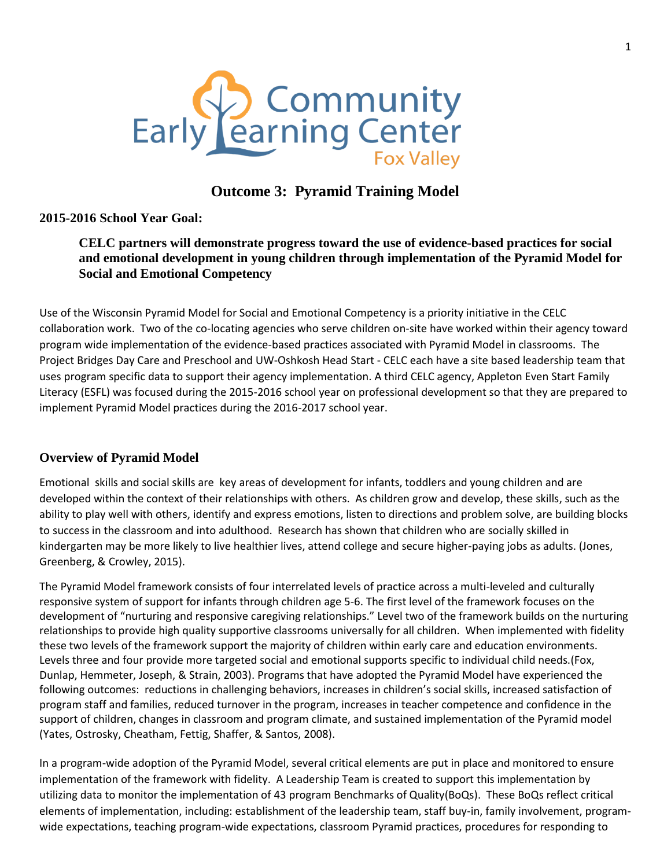

# **Outcome 3: Pyramid Training Model**

## **2015-2016 School Year Goal:**

## **CELC partners will demonstrate progress toward the use of evidence-based practices for social and emotional development in young children through implementation of the Pyramid Model for Social and Emotional Competency**

Use of the Wisconsin Pyramid Model for Social and Emotional Competency is a priority initiative in the CELC collaboration work. Two of the co-locating agencies who serve children on-site have worked within their agency toward program wide implementation of the evidence-based practices associated with Pyramid Model in classrooms. The Project Bridges Day Care and Preschool and UW-Oshkosh Head Start - CELC each have a site based leadership team that uses program specific data to support their agency implementation. A third CELC agency, Appleton Even Start Family Literacy (ESFL) was focused during the 2015-2016 school year on professional development so that they are prepared to implement Pyramid Model practices during the 2016-2017 school year.

## **Overview of Pyramid Model**

Emotional skills and social skills are key areas of development for infants, toddlers and young children and are developed within the context of their relationships with others. As children grow and develop, these skills, such as the ability to play well with others, identify and express emotions, listen to directions and problem solve, are building blocks to success in the classroom and into adulthood. Research has shown that children who are socially skilled in kindergarten may be more likely to live healthier lives, attend college and secure higher-paying jobs as adults. (Jones, Greenberg, & Crowley, 2015).

The Pyramid Model framework consists of four interrelated levels of practice across a multi-leveled and culturally responsive system of support for infants through children age 5-6. The first level of the framework focuses on the development of "nurturing and responsive caregiving relationships." Level two of the framework builds on the nurturing relationships to provide high quality supportive classrooms universally for all children. When implemented with fidelity these two levels of the framework support the majority of children within early care and education environments. Levels three and four provide more targeted social and emotional supports specific to individual child needs.(Fox, Dunlap, Hemmeter, Joseph, & Strain, 2003). Programs that have adopted the Pyramid Model have experienced the following outcomes: reductions in challenging behaviors, increases in children's social skills, increased satisfaction of program staff and families, reduced turnover in the program, increases in teacher competence and confidence in the support of children, changes in classroom and program climate, and sustained implementation of the Pyramid model (Yates, Ostrosky, Cheatham, Fettig, Shaffer, & Santos, 2008).

In a program-wide adoption of the Pyramid Model, several critical elements are put in place and monitored to ensure implementation of the framework with fidelity. A Leadership Team is created to support this implementation by utilizing data to monitor the implementation of 43 program Benchmarks of Quality(BoQs). These BoQs reflect critical elements of implementation, including: establishment of the leadership team, staff buy-in, family involvement, programwide expectations, teaching program-wide expectations, classroom Pyramid practices, procedures for responding to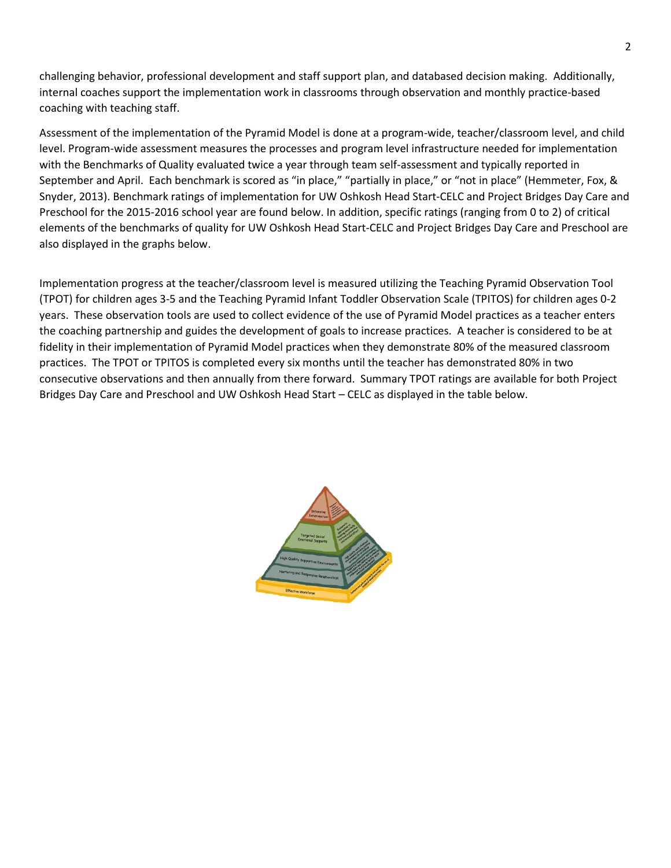challenging behavior, professional development and staff support plan, and databased decision making. Additionally, internal coaches support the implementation work in classrooms through observation and monthly practice-based coaching with teaching staff.

Assessment of the implementation of the Pyramid Model is done at a program-wide, teacher/classroom level, and child level. Program-wide assessment measures the processes and program level infrastructure needed for implementation with the Benchmarks of Quality evaluated twice a year through team self-assessment and typically reported in September and April. Each benchmark is scored as "in place," "partially in place," or "not in place" (Hemmeter, Fox, & Snyder, 2013). Benchmark ratings of implementation for UW Oshkosh Head Start-CELC and Project Bridges Day Care and Preschool for the 2015-2016 school year are found below. In addition, specific ratings (ranging from 0 to 2) of critical elements of the benchmarks of quality for UW Oshkosh Head Start-CELC and Project Bridges Day Care and Preschool are also displayed in the graphs below.

Implementation progress at the teacher/classroom level is measured utilizing the Teaching Pyramid Observation Tool (TPOT) for children ages 3-5 and the Teaching Pyramid Infant Toddler Observation Scale (TPITOS) for children ages 0-2 years. These observation tools are used to collect evidence of the use of Pyramid Model practices as a teacher enters the coaching partnership and guides the development of goals to increase practices. A teacher is considered to be at fidelity in their implementation of Pyramid Model practices when they demonstrate 80% of the measured classroom practices. The TPOT or TPITOS is completed every six months until the teacher has demonstrated 80% in two consecutive observations and then annually from there forward. Summary TPOT ratings are available for both Project Bridges Day Care and Preschool and UW Oshkosh Head Start – CELC as displayed in the table below.

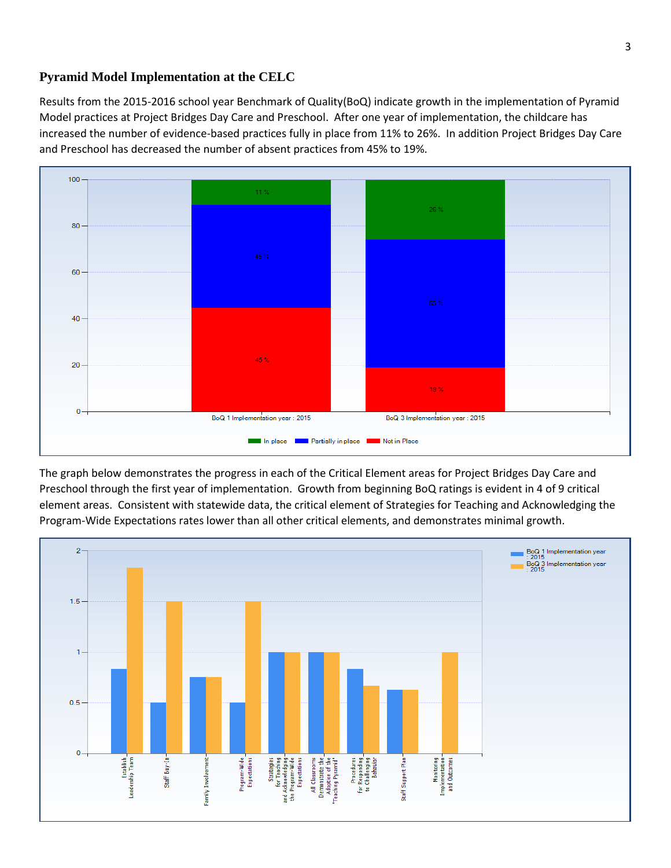#### **Pyramid Model Implementation at the CELC**

Results from the 2015-2016 school year Benchmark of Quality(BoQ) indicate growth in the implementation of Pyramid Model practices at Project Bridges Day Care and Preschool. After one year of implementation, the childcare has increased the number of evidence-based practices fully in place from 11% to 26%. In addition Project Bridges Day Care and Preschool has decreased the number of absent practices from 45% to 19%.



The graph below demonstrates the progress in each of the Critical Element areas for Project Bridges Day Care and Preschool through the first year of implementation. Growth from beginning BoQ ratings is evident in 4 of 9 critical element areas. Consistent with statewide data, the critical element of Strategies for Teaching and Acknowledging the Program-Wide Expectations rates lower than all other critical elements, and demonstrates minimal growth.

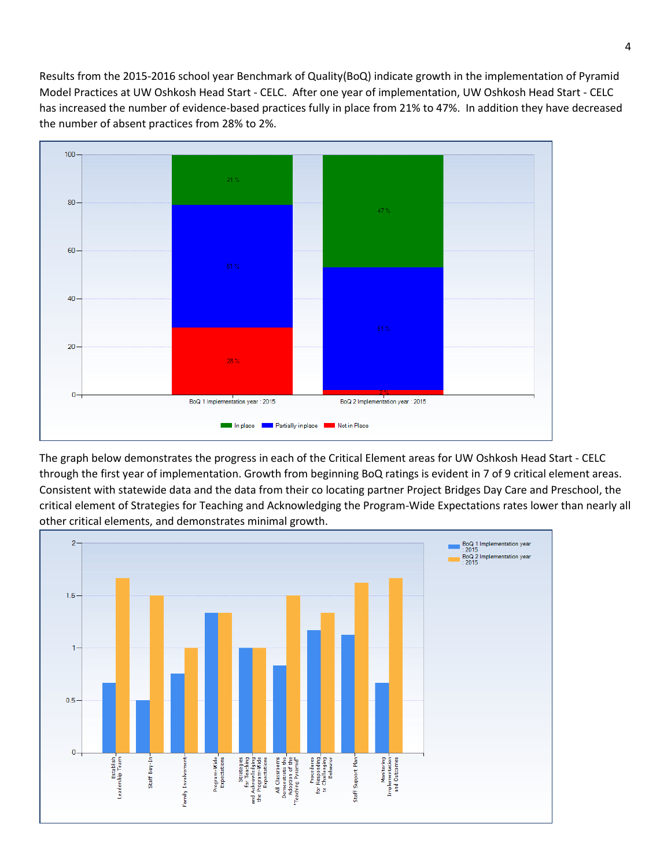Results from the 2015-2016 school year Benchmark of Quality(BoQ) indicate growth in the implementation of Pyramid Model Practices at UW Oshkosh Head Start - CELC. After one year of implementation, UW Oshkosh Head Start - CELC has increased the number of evidence-based practices fully in place from 21% to 47%. In addition they have decreased the number of absent practices from 28% to 2%.



The graph below demonstrates the progress in each of the Critical Element areas for UW Oshkosh Head Start - CELC through the first year of implementation. Growth from beginning BoQ ratings is evident in 7 of 9 critical element areas. Consistent with statewide data and the data from their co locating partner Project Bridges Day Care and Preschool, the critical element of Strategies for Teaching and Acknowledging the Program-Wide Expectations rates lower than nearly all other critical elements, and demonstrates minimal growth.

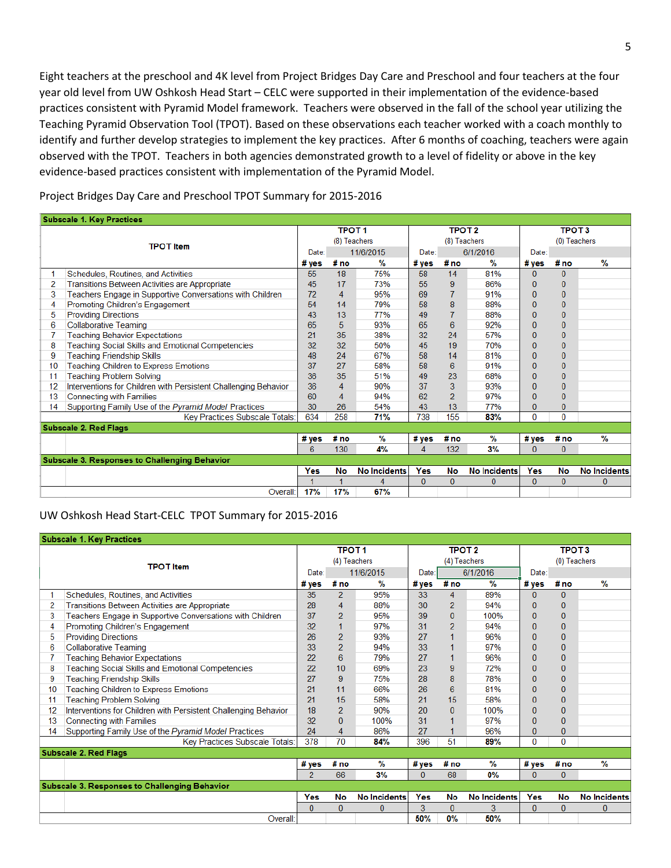Eight teachers at the preschool and 4K level from Project Bridges Day Care and Preschool and four teachers at the four year old level from UW Oshkosh Head Start – CELC were supported in their implementation of the evidence-based practices consistent with Pyramid Model framework. Teachers were observed in the fall of the school year utilizing the Teaching Pyramid Observation Tool (TPOT). Based on these observations each teacher worked with a coach monthly to identify and further develop strategies to implement the key practices. After 6 months of coaching, teachers were again observed with the TPOT. Teachers in both agencies demonstrated growth to a level of fidelity or above in the key evidence-based practices consistent with implementation of the Pyramid Model.

Project Bridges Day Care and Preschool TPOT Summary for 2015-2016

| <b>Subscale 1. Key Practices</b>                     |                                                                 |                    |                |                     |              |                |                     |                |              |                     |  |
|------------------------------------------------------|-----------------------------------------------------------------|--------------------|----------------|---------------------|--------------|----------------|---------------------|----------------|--------------|---------------------|--|
|                                                      |                                                                 |                    | <b>TPOT1</b>   |                     |              | <b>TPOT 2</b>  |                     |                | <b>TPOT3</b> |                     |  |
| <b>TPOT</b> Item                                     |                                                                 | (8) Teachers       |                |                     | (8) Teachers |                |                     | (0) Teachers   |              |                     |  |
|                                                      |                                                                 | 11/6/2015<br>Date: |                | 6/1/2016<br>Date:   |              |                | Date:               |                |              |                     |  |
|                                                      |                                                                 |                    | # no           | $\frac{9}{6}$       | # ves        | # no           | $\frac{9}{6}$       | # yes          | #no          | $\frac{9}{6}$       |  |
|                                                      | Schedules, Routines, and Activities                             | 55                 | 18             | 75%                 | 58           | 14             | 81%                 | $\Omega$       | $\Omega$     |                     |  |
| 2                                                    | Transitions Between Activities are Appropriate                  | 45                 | 17             | 73%                 | 55           | 9              | 86%                 | $\overline{0}$ | $\bf{0}$     |                     |  |
| 3                                                    | Teachers Engage in Supportive Conversations with Children       | 72                 | 4              | 95%                 | 69           | $\overline{7}$ | 91%                 | $\bf{0}$       | $\mathbf{0}$ |                     |  |
|                                                      | Promoting Children's Engagement                                 | 54                 | 14             | 79%                 | 58           | 8              | 88%                 | 0              | $\mathbf{0}$ |                     |  |
| 5.                                                   | <b>Providing Directions</b>                                     | 43                 | 13             | 77%                 | 49           | $\overline{7}$ | 88%                 | $\overline{0}$ | $\mathbf{0}$ |                     |  |
| 6                                                    | <b>Collaborative Teaming</b>                                    | 65                 | 5              | 93%                 | 65           | 6              | 92%                 | 0              | $\bf{0}$     |                     |  |
|                                                      | <b>Teaching Behavior Expectations</b>                           | 21                 | 35             | 38%                 | 32           | 24             | 57%                 | 0              | $\mathbf{0}$ |                     |  |
| 8                                                    | <b>Teaching Social Skills and Emotional Competencies</b>        | 32                 | 32             | 50%                 | 45           | 19             | 70%                 | $\overline{0}$ | $\mathbf{0}$ |                     |  |
| 9                                                    | <b>Teaching Friendship Skills</b>                               | 48                 | 24             | 67%                 | 58           | 14             | 81%                 | 0              | $\bf{0}$     |                     |  |
| 10                                                   | Teaching Children to Express Emotions                           | 37                 | 27             | 58%                 | 58           | 6              | 91%                 | 0              | $\mathbf{0}$ |                     |  |
| 11                                                   | <b>Teaching Problem Solving</b>                                 | 36                 | 35             | 51%                 | 49           | 23             | 68%                 | $\overline{0}$ | $\mathbf{0}$ |                     |  |
| 12                                                   | Interventions for Children with Persistent Challenging Behavior | 36                 | $\overline{4}$ | 90%                 | 37           | 3              | 93%                 | 0              | $\mathbf{0}$ |                     |  |
| 13                                                   | <b>Connecting with Families</b>                                 | 60                 | 4              | 94%                 | 62           | $\overline{2}$ | 97%                 | $\overline{0}$ | $\bf{0}$     |                     |  |
| 14                                                   | Supporting Family Use of the Pyramid Model Practices            | 30                 | 26             | 54%                 | 43           | 13             | 77%                 | 0              | $\bf{0}$     |                     |  |
|                                                      | Key Practices Subscale Totals:                                  | 634                | 258            | 71%                 | 738          | 155            | 83%                 | 0              | $\Omega$     |                     |  |
|                                                      | <b>Subscale 2. Red Flags</b>                                    |                    |                |                     |              |                |                     |                |              |                     |  |
|                                                      |                                                                 | #yes               | # no           | $\%$                | # yes        | #no            | %                   | #yes           | # no         | %                   |  |
|                                                      |                                                                 | 6                  | 130            | 4%                  | 4            | 132            | 3%                  | $\bf{0}$       | $\bf{0}$     |                     |  |
| <b>Subscale 3. Responses to Challenging Behavior</b> |                                                                 |                    |                |                     |              |                |                     |                |              |                     |  |
|                                                      |                                                                 | Yes                | No             | <b>No Incidents</b> | Yes          | No             | <b>No Incidents</b> | <b>Yes</b>     | <b>No</b>    | <b>No Incidents</b> |  |
|                                                      |                                                                 |                    |                | 4                   | $\mathbf{0}$ | $\mathbf{0}$   | $\Omega$            | 0              | $\bf{0}$     | $\Omega$            |  |
|                                                      | Overall:                                                        | 17%                | 17%            | 67%                 |              |                |                     |                |              |                     |  |

#### UW Oshkosh Head Start-CELC TPOT Summary for 2015-2016

| <b>Subscale 1. Key Practices</b>                     |                                                                 |                    |                |                     |               |                |                     |                |              |                     |
|------------------------------------------------------|-----------------------------------------------------------------|--------------------|----------------|---------------------|---------------|----------------|---------------------|----------------|--------------|---------------------|
| <b>TPOT</b> Item                                     |                                                                 | <b>TPOT1</b>       |                |                     | <b>TPOT 2</b> |                |                     | TPOT 3         |              |                     |
|                                                      |                                                                 | (4) Teachers       |                |                     | (4) Teachers  |                |                     | (0) Teachers   |              |                     |
|                                                      |                                                                 | 11/6/2015<br>Date: |                | Date:               | 6/1/2016      |                | Date:               |                |              |                     |
|                                                      |                                                                 | $#$ ves            | #no            | %                   | # ves         | #no            | %                   | #yes           | #no          | $\frac{9}{6}$       |
|                                                      | Schedules, Routines, and Activities                             | 35                 | $\overline{2}$ | 95%                 | 33            | 4              | 89%                 | $\bf{0}$       | $\mathbf{0}$ |                     |
| 2                                                    | Transitions Between Activities are Appropriate                  | 28                 | 4              | 88%                 | 30            | $\overline{2}$ | 94%                 | $\bf{0}$       | $\bf{0}$     |                     |
| 3                                                    | Teachers Engage in Supportive Conversations with Children       | 37                 | $\overline{2}$ | 95%                 | 39            | $\bf{0}$       | 100%                | $\bf{0}$       | $\mathbf{0}$ |                     |
| 4                                                    | Promoting Children's Engagement                                 | 32                 | 1              | 97%                 | 31            | $\overline{2}$ | 94%                 | $\mathbf{0}$   | $\bf{0}$     |                     |
| 5                                                    | <b>Providing Directions</b>                                     | 26                 | $\overline{2}$ | 93%                 | 27            | 1              | 96%                 | 0              | $\bf{0}$     |                     |
| 6                                                    | <b>Collaborative Teaming</b>                                    | 33                 | $\overline{2}$ | 94%                 | 33            | 1              | 97%                 | $\bf{0}$       | $\bf{0}$     |                     |
|                                                      | <b>Teaching Behavior Expectations</b>                           | 22                 | 6              | 79%                 | 27            | 1              | 96%                 | $\bf{0}$       | $\bf{0}$     |                     |
| 8                                                    | Teaching Social Skills and Emotional Competencies               | 22                 | 10             | 69%                 | 23            | 9              | 72%                 | $\bf{0}$       | $\bf{0}$     |                     |
| 9                                                    | <b>Teaching Friendship Skills</b>                               | 27                 | 9              | 75%                 | 28            | 8              | 78%                 | 0              | $\bf{0}$     |                     |
| 10                                                   | <b>Teaching Children to Express Emotions</b>                    | 21                 | 11             | 66%                 | 26            | 6              | 81%                 | $\bf{0}$       | $\bf{0}$     |                     |
| 11                                                   | <b>Teaching Problem Solving</b>                                 | 21                 | 15             | 58%                 | 21            | 15             | 58%                 | $\overline{0}$ | $\mathbf{0}$ |                     |
| 12                                                   | Interventions for Children with Persistent Challenging Behavior | 18                 | $\overline{2}$ | 90%                 | 20            | $\mathbf{0}$   | 100%                | $\bf{0}$       | $\mathbf{0}$ |                     |
| 13                                                   | <b>Connecting with Families</b>                                 | 32                 | 0              | 100%                | 31            | 1              | 97%                 | 0              | $\mathbf{0}$ |                     |
| 14                                                   | Supporting Family Use of the Pyramid Model Practices            | 24                 | 4              | 86%                 | 27            | 1              | 96%                 | 0              | $\mathbf{0}$ |                     |
|                                                      | Key Practices Subscale Totals:                                  | 378                | 70             | 84%                 | 396           | 51             | 89%                 | $\Omega$       | $\mathbf{0}$ |                     |
| <b>Subscale 2. Red Flags</b>                         |                                                                 |                    |                |                     |               |                |                     |                |              |                     |
|                                                      |                                                                 | #yes               | # no           | %                   | #yes          | # no           | %                   | # yes          | # no         | %                   |
|                                                      |                                                                 | $\overline{2}$     | 66             | 3%                  | $\Omega$      | 68             | $0\%$               | 0              | $\mathbf{0}$ |                     |
| <b>Subscale 3. Responses to Challenging Behavior</b> |                                                                 |                    |                |                     |               |                |                     |                |              |                     |
|                                                      |                                                                 | Yes                | No             | <b>No Incidents</b> | Yes           | No             | <b>No Incidents</b> | Yes            | No           | <b>No Incidents</b> |
|                                                      |                                                                 | $\mathbf{0}$       | $\overline{0}$ | $\Omega$            | 3             | $\overline{0}$ | 3                   | $\bf{0}$       | $\mathbf{0}$ | $\Omega$            |
| Overall:                                             |                                                                 |                    |                |                     | 50%           | 0%             | 50%                 |                |              |                     |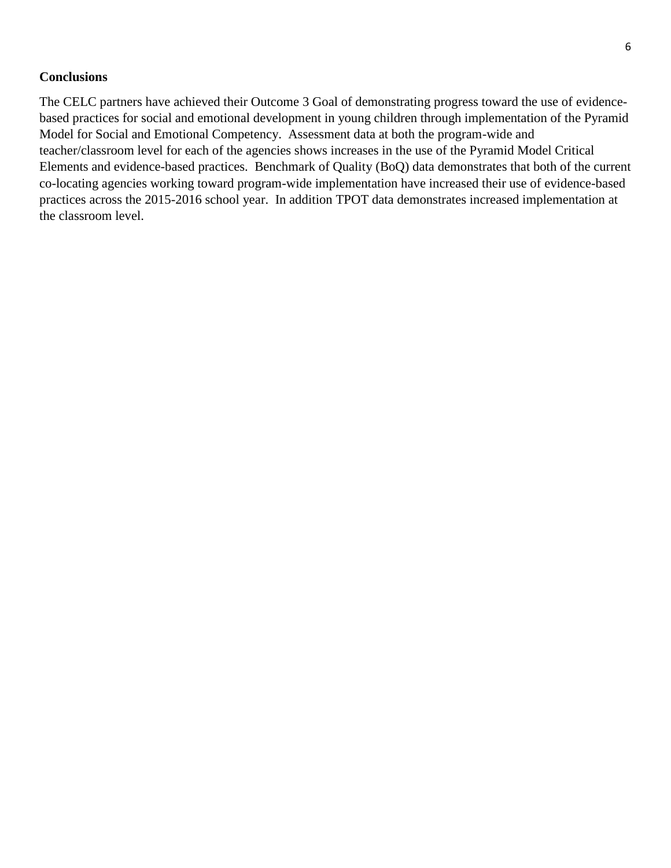#### **Conclusions**

The CELC partners have achieved their Outcome 3 Goal of demonstrating progress toward the use of evidencebased practices for social and emotional development in young children through implementation of the Pyramid Model for Social and Emotional Competency. Assessment data at both the program-wide and teacher/classroom level for each of the agencies shows increases in the use of the Pyramid Model Critical Elements and evidence-based practices. Benchmark of Quality (BoQ) data demonstrates that both of the current co-locating agencies working toward program-wide implementation have increased their use of evidence-based practices across the 2015-2016 school year. In addition TPOT data demonstrates increased implementation at the classroom level.